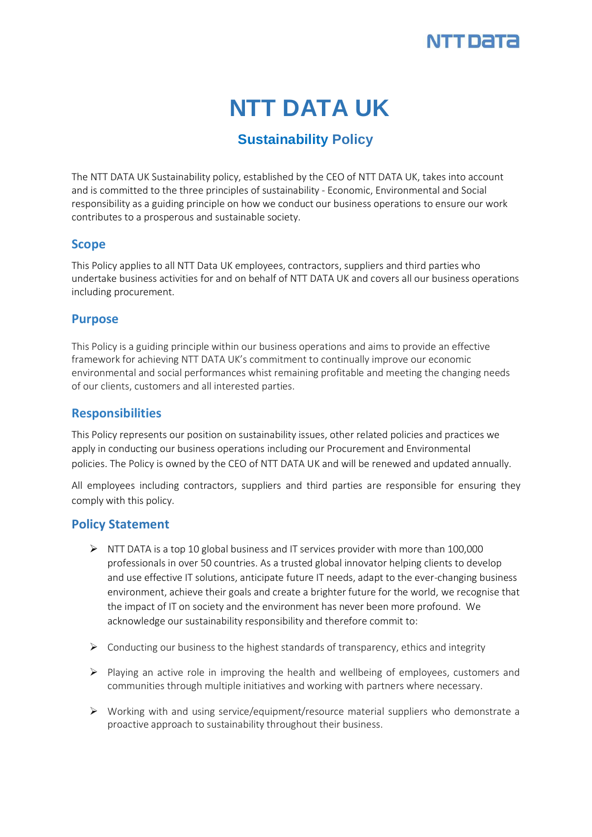

# **NTT DATA UK**

# **Sustainability Policy**

The NTT DATA UK Sustainability policy, established by the CEO of NTT DATA UK, takes into account and is committed to the three principles of sustainability - Economic, Environmental and Social responsibility as a guiding principle on how we conduct our business operations to ensure our work contributes to a prosperous and sustainable society.

#### **Scope**

This Policy applies to all NTT Data UK employees, contractors, suppliers and third parties who undertake business activities for and on behalf of NTT DATA UK and covers all our business operations including procurement.

#### **Purpose**

This Policy is a guiding principle within our business operations and aims to provide an effective framework for achieving NTT DATA UK's commitment to continually improve our economic environmental and social performances whist remaining profitable and meeting the changing needs of our clients, customers and all interested parties.

## **Responsibilities**

This Policy represents our position on sustainability issues, other related policies and practices we apply in conducting our business operations including our Procurement and Environmental policies. The Policy is owned by the CEO of NTT DATA UK and will be renewed and updated annually.

All employees including contractors, suppliers and third parties are responsible for ensuring they comply with this policy.

## **Policy Statement**

- $\triangleright$  NTT DATA is a top 10 global business and IT services provider with more than 100,000 professionals in over 50 countries. As a trusted global innovator helping clients to develop and use effective IT solutions, anticipate future IT needs, adapt to the ever-changing business environment, achieve their goals and create a brighter future for the world, we recognise that the impact of IT on society and the environment has never been more profound. We acknowledge our sustainability responsibility and therefore commit to:
- $\triangleright$  Conducting our business to the highest standards of transparency, ethics and integrity
- $\triangleright$  Playing an active role in improving the health and wellbeing of employees, customers and communities through multiple initiatives and working with partners where necessary.
- $\triangleright$  Working with and using service/equipment/resource material suppliers who demonstrate a proactive approach to sustainability throughout their business.